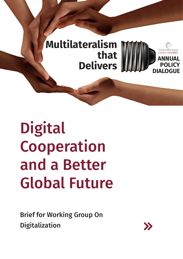

# Digital Cooperation and a Better Global Future

Brief for Working Group On Digitalization

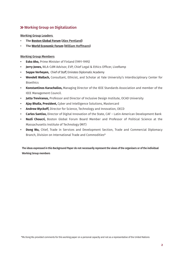## Working Group on Digitalization

Working Group Leaders

- The **[Boston Global Forum](https://bostonglobalforum.org/)** [\(Alex Pentland](https://www.media.mit.edu/people/sandy/overview/))
- The **[World Economic Forum](https://www.weforum.org/)** [\(William Hoffmann\)](https://techonomy.com/people/william-hoffman/)

### Working Group Members

- **• Esko Aho,** Prime Minister of Finland (1991-1995)
- **• Jerry Jones,** WLA-CdM Advisor, EVP, Chief Legal & Ethics Officer, LiveRamp
- **• Seppe Verheyen,** Chief of Staff, Emirates Diplomatic Academy
- **• Wendell Wallach,** Consultant, Ethicist, and Scholar at Yale University's Interdisciplinary Center for Bioethics
- **• Konstantinos Karachalios,** Managing Director of the IEEE Standards Association and member of the IEEE Management Council.
- **• Jutta Treviranus,** Professor and Director of Inclusive Design Institute, OCAD University
- **• Ajay Bhalla, President,** Cyber and Intelligence Solutions, Mastercard
- **• Andrew Wyckoff,** Director for Science, Technology and Innovation, OECD
- **• Carlos Santiso,** Director of Digital Innovation of the State, CAF Latin-American Development Bank
- **• Nazli Choucri,** Boston Global Forum Board Member and Professor of Political Science at the Massachusetts Institute of Technology (MIT)
- **• Dong Wu,** Chief, Trade in Services and Development Section, Trade and Commercial Diplomacy Branch, Division on International Trade and Commodities\*

The ideas expressed in this Background Paper do not necessarily represent the views of the organisers or of the individual Working Group members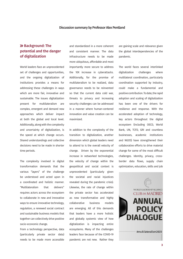#### Discussion summary by Professor Alex Pentland

## >> Background: The potential and the danger of digitalization

World leaders face an unprecedented set of challenges and opportunities, and the ongoing digitalization of institutions provides a means for addressing these challenges in ways which are more fair, innovative and sustainable. The issues digitalization present for multilateralism are complex, emergent and demand new approaches which deliver impact at both the global and local level. Additionally, along with the complexity and uncertainty of digitalization, is the speed at which change occurs. Shared understandings and collective decisions need to be made in shorter time periods.

The complexity involved in digital transformation demands that the various "layers" of the challenge be understood and acted upon in a coordinated and holistic manner. "Multilateralism that delivers" requires actors across the ecosystem to collaborate in new and innovative ways to ensure innovative technology, regulation, a renewed social contract and sustainable business models that together can collectively drive positive socio-economic change.

From a technology perspective, data (particularly private sector data) needs to be made more accessible and standardized in a more coherent and consistent manner. The data infrastructure needs to be made more ubiquitous, affordable and most importantly more secure to address the 10X increase in cyberattacks. Additionally, for the promise of multilateralism to be realized, data governance needs to be reinvented so that the current data cold war, threats to privacy and increasing security challenges can be addressed in a manner where human-centered innovation and value creation can be maximized.

In addition to the complexity of the transition to digitalization, another dimension which global leaders need to attend to is the overall velocity of change. Driven by the exponential increase in networked technologies, the velocity of change within the geopolitical and social context is unprecedented (particularly given the societal and racial injustices revealed during the pandemic crisis). Likewise, the rate of change within the private sector has accelerated as new transformative and highly collaborative business models are emerging. All of this demands that leaders have a more holistic and globally systemic view of how digitalization is impacting entire ecosystems. Many of the challenges leaders face because of the COVID-19 pandemic are not new. Rather they

are gaining scale and relevance given the global interdependencies of the pandemic.

The world faces several interlinked digitalization challenges where multilateral coordination, particularly coordination supported by industry, could make a fundamental and positive contribution. To date, the rapid adoption and scaling of digitalization has been one of the drivers for resilience and response. With the accelerated adoption of technology, key actors throughout the digital ecosystem (including OECD, World Bank, UN, TCFD, GRI and countless businesses, academic institutions and NGOS) have strengthened their collaborative efforts to drive material change for some of the most difficult challenges. Identity, privacy, crossborder data flows, supply chain optimization, education, skills and job

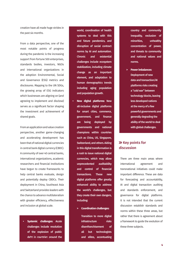creation have all made huge strides in the past six months.

From a data perspective, one of the most notable points of progress during the pandemic is the increasing support from fortune 500 enterprises, standards bodies, investors, NGOs and international organizations in the adoption Environmental, Social and Governance (ESG) metrics and disclosures. Mapping to the UN SDGs, the growing array of ESG indicators which businesses are aligning on (and agreeing to implement and disclose) serves as a significant factor shaping the investment and achievement of shared goals.

From an application and value creation perspective, another game-changing and accelerating development has been that of national digital currencies in central bank digital currency (CBDC). A community of over 40 central banks, international organizations, academic researchers and financial institutions have begun to create frameworks to help central banks evaluate, design and potentially deploy CBDCs. Their deployment in China, Southeast Asia and Switzerland provides leaders with the chance to advance multilateralism with greater efficiency, effectiveness and inclusion at global scale.

**• Systemic challenges:** Acute challenges include resolution of the explosion of public debt in countries around the world, coordination of health systems to deal with this and future pandemics, and disruption of social contract norms by AI and automation. Chronic and existential challenges include ecosystem stabilization, including climate change as an important element, and adaptation to human demographics trends including aging population and population growth.

- **• New digital platforms:** New all-inclusive digital platforms for smart cities, commerce, government, and finance are being deployed by governments and national champions within countries such as China, US, Singapore, Switzerland, and others. Aiding in this digital transformation is a rush to issue national digital currencies, which may allow unprecedented auditability and control of financial transactions. These new digital platforms offer greatly enhanced ability to address the world's challenges, but they create their own dangers, including:
	- **> Coordination challenges:**

Transition to more digital infrastructure risks disenfranchisement of all but technologists and elites, accentuating

country and community inequality, exclusion of minorities, unhealthy concentration of power, and threats to community and national values and norms.

**> Power imbalances:**  Deployment of new data and transaction/AI platforms risks creating a "cold war" between technology blocks, leaving less developed nations at the mercy of a few powerful governments and generally degrading the ability of the world to deal with global challenges.

## $\gg$  Key points for discussion

There are three main areas where international agreement and transnational initiatives could make important difference. These are data for forecasting and accountability, AI and digital transaction auditing and standards enforcement, and governance for digital platforms. It is not intended that the current discussion establish standards and norms within these three areas, but rather that there is agreement about a framework to guide the evolution of these three subjects.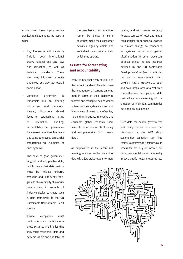In discussing these topics, certain practical realities should be kept in mind:

- **•** Any framework will inevitably include both international treaty, national and local law and regulation, as well as technical standards. There are many initiatives currently underway, but they lack overall coordination.
- Complete uniformity is impossible due to differing norms and local conditions. Instead, discussions should focus on establishing norms of interaction, auditing, accountability, and governance between communities. Payments and some other types of financial transactions are examples of such systems.
- The basis of good governance is good and comparable data, which means that data metrics must be reliable uniform, frequent and sufficiently finegrain to allow visibility of minority communities. An example of inclusive design to create such a data framework is the UN Sustainable Development Tier 3 metrics.
- **•** Private companies must contribute to and participate in these systems. This implies that they must make their data and systems visible and auditable at

the granularity of communities, rather like banks in some countries make their consumer activities regularly visible and auditable for each community in which they operate.

## >> Data for forecasting and accountability

Both the financial crash of 2008 and the current pandemic have laid bare the inadequacy of current systems, both in terms of their inability to forecast and manage crises, as well as in terms of their systemic exclusion or bias against of many parts of society. To build an inclusive, innovative and equitable global economy there needs to be access to robust, timely and comprehensive "rich census data".

As emphasized in the recent G20 meeting, open access to this sort of data will allow stakeholders to more

quickly, and with greater certainty, forecast sources of local and global risks, ranging from financial crashes, to climate change, to pandemics, to systemic racial and gender discrimination to other precursors of social unrest. The data resources outlined by the UN Sustainable Development Goals (and in particular the tier 3 measurement goals) envision having trustworthy, open and accountable access to real-time, comprehensive and granular data that allows understanding of the situation of individual communities but not individual people.

Such data can enable governments and policy makers to ensure that discussions at the WEF about stakeholder capitalism turn into reality. Tax systems, for instance, could assess tax not only on income, but on environmental impact, inequality impact, public health measures, etc.

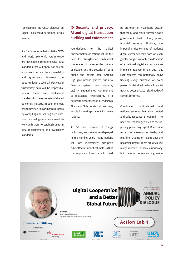For example, the OECD dialogue on Digital Taxes could be framed in this manner.

It is for this reason that both the OECD and World Economic Forum (WEF) are developing comprehensive data standards that will apply not only to economics but also to sustainability and governance. However, the opportunity for a secure, inclusive and trustworthy data will be impossible unless there are multilateral standards for measurement of shared outcomes. Industry, through the WEF, has committed to starting this process by compiling and sharing such data, now national governments need to work with them to establish uniform data measurement and availability standards.

## **>>** Security and privacy: AI and digital transaction auditing and enforcement

Foundational to the digital transformation of nations will be the need for strengthened multilateral cooperation to ensure the privacy of citizens and the security of both public and private data systems (e.g., government systems but also financial systems, heath systems, etc). A strengthened commitment to multilateral cybersecurity is a natural topic for the World Leadership Alliance – Club de Madrid members, and is increasingly urgent for many nations.

As 5G and Internet of Things technology are more widely deployed in the coming years, many nations will face increasingly disruptive cyberattacks. Current estimates is that the frequency of such attacks could

be an order of magnitude greater that today, and would threaten basic government, health, food, power, financial systems. Similarly, the impending deployment of national digital currencies may pose an even greater danger. Not only could "hacks" of a national digital currency cause immense real-world damage, but such systems can potentially allow tracking every purchase of every person. Such individual-level financial tracking poses privacy risks that dwarf current concerns.

Coordinated multinational and national systems that allow unified and agile response is required. The need for technologies such as secure, privacy-preserving digital ID, accurate records of cross-border trade, and real-time sharing of health data are becoming urgent. There are of course many relevant initiatives underway, but there is no overarching vision

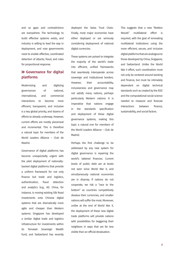and so gaps and contradictions are everywhere. The technology to build effective systems exists, and industry is willing to lead the way in deployment, and now governments need to enable effective, coordinated detection of attacks, fraud, and rules for proportional response.

## Governance for digital platforms

Modernizing and digitizing governances of national, international, and commercial interactions to become more efficient, transparent, and inclusive is a key global priority, and dozens of efforts to already underway. However, current efforts are mostly piecemeal and incremental. This is therefore a natural topic for members of the World Leaders Alliance – Club de Madrid.

Governance of digital platforms has become unexpectedly urgent with the pilot deployment of nationallybacked digital platforms that provide a uniform framework for not only finance but trade and logistics, authentication, fraud detection and analytics (e.g., AI). China, for instance, is moving existing Silk Road investments onto Chinese digital systems that are dramatically more agile and cheaper than Western systems. Singapore has developed a similar digital trade and logistics infrastructure for investments within its Temasek Sovereign Wealth fund, and Switzerland has recently

deployed the Swiss Trust Chain. Finally, most major economies have either deployed or are seriously considering deployment of national digital currencies.

These systems are poised to integrate the majority of the world's trade into efficient, unified frameworks that seamlessly interoperate across sovereign and institutional borders. However, their accountability, inclusiveness and governance may not satisfy many nations, perhaps particularly Western nations. It is imperative that nations engage in the standards specification and deployment of these digital governance systems, making this topic a natural one for members of the World Leaders Alliance – Club de Madrid.

Perhaps the first challenge to be addressed by any new system for digital governance is repairing the world's tattered finances. Current levels of public debt are at levels not seen since World War II, and simultaneously national economies are in disarray. If nations do not cooperate, we risk a "race to the bottom" as countries competitively devalue their currencies, and smaller nations will suffer the most. Moreover, unlike at the end of World War II, the deployment of these new digital trade platforms will provide nations with possibilities for beggaring their neighbors in ways that are far less visible than an official devaluation.

This suggests that a new "Bretton Woods" multilateral effort is required, with the goal of renovating multilateral institutions using the more efficient, secure, and inclusive digital platforms that are analogous to those developed by China, Singapore, and Switzerland. Unlike the World War II effort, such coordination must not only be centered around banking and finance, but must be intimately dependent on digital technical standards such as created by the IEEE and the computational social science needed to measure and forecast interactions between finance, sustainability, and social factors.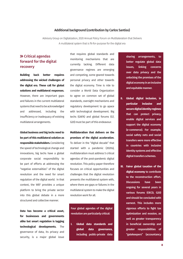#### Additional background (contribution by Carlos Santiso)

Advisory Group on Digitalization, 2020 Annual Policy Forum on Multilateralism that Delivers A multilateral system that is fit-for-purpose for the digital era

## > Critical agendas forward for the digital recovery

**Building back better requires addressing the wicked challenges of the digital era. These call for global solutions and multilateral responses.** However, there are important gaps and failures in the current multilateral systems that need to be acknowledged and addressed, including the insufficiency or inadequacy of existing multilateral arrangements.

**Global business and big techs need to be part of this multilateral solution as responsible stakeholders.** Considering the speed of technological change and innovations, big techs have a global corporate social responsibility to be part of efforts at addressing the "negative externalities" of the digital revolution and the need for smart regulation of the digital world. In that context, the WEF provides a unique platform to bring the private sector into this global debate in a more structured and collective manner.

**Data has become a critical asset, for businesses and governments alike but smart regulation is lagging technological developments.** The governance of data, its privacy and security, is a major global issue

that requires global standards and monitoring mechanisms that are currently lacking. Different data governance regimes are emerging and competing, some geared towards personal privacy and other towards the digital economy. Time is ride to consider a World Data Organization to agree on common set of global standards, oversight mechanisms and regulatory development to go apace with technological development. Big techs (GAFA) and global forums (G7, G20) must be part of this endeavour.

**promises of the digital acceleration.**  To deliver in the "digital decade" that started with a pandemic (2020s), multilateralism must address 5 critical agendas of the post-pandemic digital revolution. This policy paper therefore focuses on critical opportunities and challenges that the digital revolution presents the multilateral system with, where there are gaps or failures in the multilateral system to make the digital revolution work for all.

**Multilateralism that delivers on the** 

Four global agendas of the digital revolution are particularly critical:

**I. Global data standards and global data governance,** including public-private data

sharing arrangements, to better regulate global data issues, linking concerns over data privacy and the unlocking the promises of the digital economy in an inclusive and equitable manner.

- **II. Global digital inclusion, in particular inclusive and secure digital identity regimes**  that can protect privacy, enable digital services and support the digital economy (e-commerce). For example, social safety nets and social transfers were more effective in countries with inclusive identity systems and effective digital transfers schemes.
- **III. Fairer global taxation of the digital economy** to contribute to the reconstruction effort. Discussions have been ongoing for several years in various forums (OECD, G20) and should be concluded with earnest. This includes more vigorous efforts to fight tax optimization and evasion, as well as greater transparency in beneficial ownership and greater responsibilities of "gatekeepers" (accountancy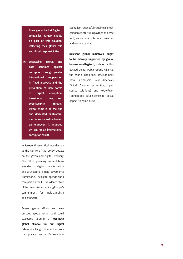firms, global banks). Big tech companies (GAFA) should be part of this solution, reflecting their global role and global responsibilities.

IV. Leveraging **digital and data solutions against corruption** through greater international cooperation in fraud analytics and the prevention of new forms of digital corruption, transitional crime, and cybersecurity threats. Digital crime is on the rise and dedicated multilateral mechanisms must be beefed up to prevent it. (Interpol; UN call for an international corruption court).

In **Europe,** these critical agendas are at the centre of the policy debate on the green and digital recovery. The EU is pursuing an ambitious agendas o digital transformation and articulating a data governance frameworks. The digital agenda was a core part on the EC President's State of the Union vision, outlining Europe's commitment for multilateralism going forward.

Several global efforts are being pursued global forum and could coalesced around a **WEF-back global alliance for our digital future**, involving critical actors from the private sector ("stakeholder

capitalism" agenda), including big tech companies, startups (govtech and civic tech), as well as institutional investors and venture capital.

**Relevant global initiatives ought to be actively supported by global business and big tech**, such as the UNbacked Digital Public Goods Alliance, the World Bank-back Development Data Partnership, New America's Digital Decade (promoting open source solutions), and Rockefeller Foundation's data science for social impact, to name a few.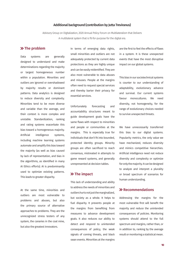#### Additional background (contribution by Jutta Treviranus)

Advisory Group on Digitalization, 2020 Annual Policy Forum on Multilateralism that Delivers A multilateral system that is fit-for-purpose for the digital era.

#### **>>**The problem

Data systems are generally designed to understand and make determinations regarding the majority or largest homogeneous number within a population. Minorities and outliers are ignored or overshadowed by majority results or dominant patterns. Data analytics is designed to reduce diversity and complexity. Minorities tend to be more diverse and variable than the average, and their context is more complex and unstable. Standardization, ranking and rating systems exacerbate this bias toward a homogeneous majority. Artificial intelligence systems, including machine learning systems automate and amplify this bias toward the majority (as well as bias caused by lack of representation, and bias in the algorithms, as identified in many AI Ethics efforts). AI is predominantly used to optimize existing patterns. This leads to greater disparity.

At the same time, minorities and outliers are most vulnerable to problems and abuses, but also the primary source of alternative approaches to problems. They are the unrecognized stress testers of any system, the canaries in the coal mine, but also the greatest innovators.

In terms of emerging data rights, small minorities and outliers are not adequately protected by current data protections as they are highly unique and can be easily reidentified. They are also most vulnerable to data abuses and misuses. People at the margins often need to request special services and thereby barter their privacy for essential services.

Unfortunately forecasting and accountability structures meant to guide development goals have the same flaws with respect to minorities and people or communities at the margins. This is especially true for individuals that don't fit into bounded, protected identity groups. Minority groups are often sacrificed to reach consensus, mistreated in attempts to game reward systems, and generally unrepresented at decision tables.

## $\gg$  The impact

This lack of understanding and ability to address the needs of minorities and outliers hurts not just the marginalized, but society as a whole. It helps to fuel disparity. It prevents people at the margins from benefiting from measures to advance development goals. It also reduces our ability to detect and respond to unintended consequences of policy, the weak signals of coming threats, and black swan events. Minorities at the margins

are the first to feel the effects of flaws in a system. It is these unexpected events that have the most disruptive impact on our global systems.

This bias in our sociotechnical systems is counter to our understanding of adaptability, evolutionary advance and survival. Our current systems favour monocultures. We need diversity, not homogeneity, for the range of evolutionary choices needed to survive unexpected threats.

We have unnecessarily transferred this bias to our digital systems. Popularity metrics, the only value we have mechanized, reduces diversity and mimics competitive hierarchies. Artificial intelligence need not reduce diversity and complexity or optimize for only the majority. It can be designed to analyze and interpret a plurality or broad spectrum of scenarios for human understanding.

## **>>** Recommendations

Addressing the margins for the most vulnerable first will benefit the majority and reduce the unintended consequences of policies. Monitoring systems should attend to the full spectrum and margins, rather than, or in addition to, ranking by the average result or monitoring a statistical mean.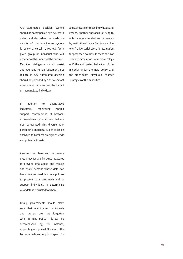Any automated decision system should be accompanied by a system to detect and alert when the predictive validity of the intelligence system is below a certain threshold for a given group or individual who will experience the impact of the decision. Machine intelligence should assist and augment human judgement, not replace it. Any automated decision should be preceded by a social impact assessment that assesses the impact on marginalized individuals.

and advocate for these individuals and groups. Another approach is trying to anticipate unintended consequences by institutionalizing a "red team – blue team" adversarial scenario evaluation for proposed policies. In these sorts of scenario simulations one team "plays out" the anticipated behaviors of the majority under the new policy and the other team "plays out" counter strategies of the minorities.

In addition to quantitative indicators, monitoring should support contributions of bottomup narratives by individuals that are not represented. This diverse nonparametric, anecdotal evidence can be analyzed to highlight emerging trends and potential threats.

Assume that there will be privacy data breaches and institute measures to prevent data abuse and misuse and assist persons whose data has been compromised. Institute policies to prevent data over-reach and to support individuals in determining what data is entrusted to whom.

Finally, governments should make sure that marginalized individuals and groups are not forgotten when forming policy. This can be accomplished by, for instance, appointing a top-level Minister of the Forgotten whose duty is to speak for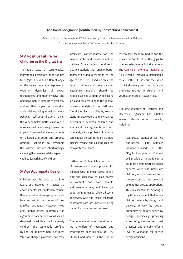#### <span id="page-11-0"></span>Additional background (contribution by Konstantinos Karachalios)

Advisory Group on Digitalization, 2020 Annual Policy Forum on Multilateralism that Delivers A multilateral system that is fit-for-purpose for the digital era.

## **>> A Positive Future for** Children in the Digital Era

The rapid pace of technological innovations accelerate opportunities to engage in new and different ways. At the same time, the exponential evolution dynamics of digital technologies and their invasive and pervasive nature force us to explicitly address their impact on individual and social wellbeing as well as on our political self-determination. Given the very complex matters involved, it makes sense to specifically focus on the impact of certain digital environments on children and youth and propose practical solutions to overcome the current massive shortcomings, including the manifested disrespect of codified legal rights of children.

#### **>> Age Appropiate Design**

Children must be able to explore, learn, and develop in trustworthy environments that enable them to fulfill their curiosities at an age-appropriate level and within the context of their familial societies. However, web and mobile-based platforms the algorithmic dark patterns of which are designed for adults attract massively children. The systematic profiling by and the addictive nature of most "free of charge" platforms has very

significant consequences for the mental state and development of children. A need exists therefore to create solutions that enable better appreciation and recognition of the age of the user. Based on this, the data of children and the associated algorithmic nudging should be handled such as to abide with existing laws and not according to the general business models of the platforms. The alleged lack of ability by several platform developers and owners to differentiate between children and adults and their argumentation that ultimately - it is a problem of parental care should be countered by a simple maxim: "respect the existing children data protection laws".

Further, most templates for terms of service are too complicated for children who in most cases, simply click the checkbox to gain access to content, and even parents and guardians may not have the opportunity to easily review all terms of service, with the result children's behavioral data are massively being shared for monetization purposes.

This untenable situation has attracted the attention of regulators and enforcement agencies (e.g., US FTC, UK ICO) and now it is the turn of researchers, technical bodies and the private sector to close the gaps by offering adequate technical solutions. The [Council of Extended Intelligence](https://globalcxi.org/)  (CXI; created through a partnership of MIT with IEEE) has put the issues of digital agency and the particular problems related to children and youth at the core of its activities[1](#page-16-0) .

IEEE (the Institute of Electrical and Electronic Engineers), has initiated several standardization projects, including:

**•** IEEE P2089 Standards for Age Appropriate Digital Services Framework-Based on the 5Rights Principles for Children will provide a methodology to establish a framework for digital services when end users are children, and by doing so, tailor the services that are provided so that they are age appropriate. This is essential to creating a digital environment that offers children safety by design and delivery, privacy by design, autonomy by design, health by design, specifically providing a set of guidelines and best practices and thereby offer a level of validation for service design decisions.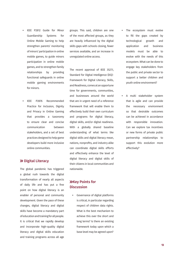- **•** IEEE P2812 Guide for Minor Guardianship Systems for Online Mobile Gaming to help strengthen parents' monitoring of minors' participation in online mobile games, to guide minors participation in online mobile games, and to strengthen family relationships by providing functional safeguards in online mobile gaming environments for minors.
- **•** IEEE P2876 Recommended Practice for Inclusion, Dignity and Privacy in Online Gaming that provides a taxonomy to ensure clear and concise communication between stakeholders, and a set of best practices designed to help game developers build more inclusive online communities.

### >> Digital Literacy

The global pandemic has triggered a global rush towards the digital transformation of nearly all aspects of daily life and has put a fine point on how digital literacy is an enabler of personal and community development. Given the pace of these changes, digital literacy and digital skills have become a mandatory part of education and training for all people. It is critical that we rapidly develop and incorporate high-quality digital literacy and digital skills education and training programs across all age

groups. This said, children are one of the most affected groups, as they are heavily influenced by the digital skills gaps with schools closing, fewer services available, and an increase in unregulated online access.

The recent approval of IEEE 3527.1, Standard for Digital Intelligence (DQ)- Framework for Digital Literacy, Skills, and Readiness, comes at an opportune time for governments, communities, and businesses around the world that are in urgent need of a reference framework that will enable them to effectively build their own curriculum and programs for digital literacy, digital skills, and/or digital readiness. With a globally shared baseline understanding of what terms like digital skills and digital literacy mean, nations, nonprofits, and industry alike can coordinate digital skills efforts and effectively enhance the level of digital literacy and digital skills of their citizens in local communities and nationwide.

## **XXey Points for Discussion**

**•** Governance of digital platforms is critical, in particular regarding respect of children data rights. What is the best mechanism to achieve this over the short and long terms? Is there an existing framework today upon which a base level may be agreed upon?

- The ecosystem must evolve to fill the gaps created by technological growth and application and business models must be able to evolve with the needs of this ecosystem. What can be done to engage key stakeholders from the public and private sector to support a better children and youth online environment?
- **•** A multi stakeholder system that is agile and can provide the necessary environment so that desirable outcomes can be achieved in accordance with responsible innovation. Can we explore tax incentives or new forms of private public partnership relationships to support this evolution more effectively?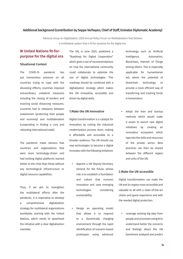#### Additional background (contribution by Seppe Verheyen, Chief of Staff, Emirates Diplomatic Academy)

Advisory Group on Digitalization, 2020 Annual Policy Forum on Multilateralism that Delivers A multilateral system that is fit-for-purpose for the digital era.

## United Nations fit-forpurpose for the digital era

#### Situational Context

The COVID-19 pandemic has put tremendous pressure on all countries trying to cope with the devasting effects; countries imposed extraordinary unilateral measures including the closing of borders and enacting social distancing measures. Countries had to rebalance between isolationism (protecting their people and economy) and multilateralism (cooperating in finding a cure and rebooting international trade).

The pandemic made obvious that countries and organizations that were more technology-driven and had existing digital platforms reacted better to the crisis than those without any technological infrastructure or digital resource capabilities.

Thus, if we aim to strengthen the multilateral efforts after the pandemic, it is imperative to develop a comprehensive digitalization strategy for multilateral organizations worldwide, starting with the United Nations, which needs to spearhead the initiative with a clear digitalization mandate.

The UN, in June 2020, published a "Roadmap for Digital Cooperation" which gives a set of recommendations on how the international community could collaborate to optimize the use of digital technologies. This roadmap should be combined with a digitalization strategy which makes the UN innovative, accessible and driven by digital skills.

#### 1.Make the UN Innovative

Digital transformation is a catalyst for innovation by cutting the industrial modernization process short, making it affordable and accessible to a broader audience. The UN should use new technologies to become a digital innovator with the following initiatives:

- **•** Appoint a UN Deputy-Secretary General for the future, whose role is to establish a foundation and culture that nurtures innovation and uses emerging technologies considering sustainability.
- **•** Design an operating model that allows it to respond to a dynamically changing environment through the rapid identification of scenario-based prototypes using advanced

technology such as Artificial Intelligence, Automation, Blockchain, Internet of Things among others. This is especially applicable for humanitarian aid, where the potential of blockchain technology to provide a more efficient way of transferring and tracking funds is tremendous.

**•** Adopt the lean and startup methods which would make it easier to launch new digital initiatives by creating an innovation ecosystem which taps into the skills and resources of the private sector. Best practices can then be shared between the different organs and units of the UN.

#### 2.Make the UN accessible

Digital transformation can make the UN and its organs more accessible and valuable to all with a state-of-the-art citizen and guest experience and with the needed digital protection.

**•** Leverage existing big data from people and processes using AI to understand better the concerns and feelings about the UN (sentiment analysis) and predict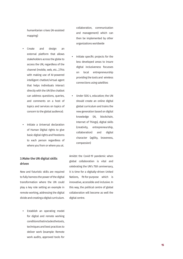humanitarian crises (AI-assisted mapping)

- **•** Create and design an external platform that allows stakeholders across the globe to access the UN, regardless of the channel (mobile, web, etc…).This with making use of AI-powered intelligent chatbot/virtual agent that helps individuals interact directly with the UN (the chatbot can address questions, queries, and comments on a host of topics and services on topics of concern to the global audience).
- **•** Initiate a Universal declaration of Human Digital rights to give basic digital rights and freedoms to each person regardless of where you from or where you at.

## 3.Make the UN digital skills driven

New and futuristic skills are required to fully harness the power of the digital transformation where the UN could play a key role setting an example in remote working, addressing the digital divide and creating a digital curriculum.

**•** Establish an operating model for digital and remote working conditions that includes the tools, techniques and best practices to deliver work (example: Remote work audits, approved tools for collaboration, communication and management) which can then be implemented by other organizations worldwide

- **•** Initiate specific projects for the less developed areas to insure digital inclusiveness focusses on local entrepreneurship providing the tools and wireless connections using satellites
- **•** Under SDG 4, education; the UN should create an online digital global curriculum and trains the new generation based on digital knowledge (AI, blockchain, Internet of Things), digital skills (creativity, entrepreneurship, collaboration) and digital character (agility, braveness, compassion)

Amidst the Covid-19 pandemic when global collaboration is vital and celebrating the UN's 75th anniversary, it is time for a digitally-driven United Nations, fit-for-purpose which is innovative, accessible and inclusive. In this way, the political centre of global collaboration will become as well the digital centre.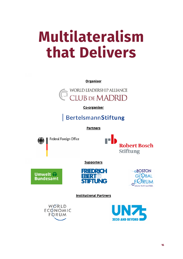## **Multilateralism that Delivers**

**Organiser** 



Co-organiser

## **BertelsmannStiftung**

**Partners** 



Federal Foreign Office



**Supporters** 







**Institutional Partners**